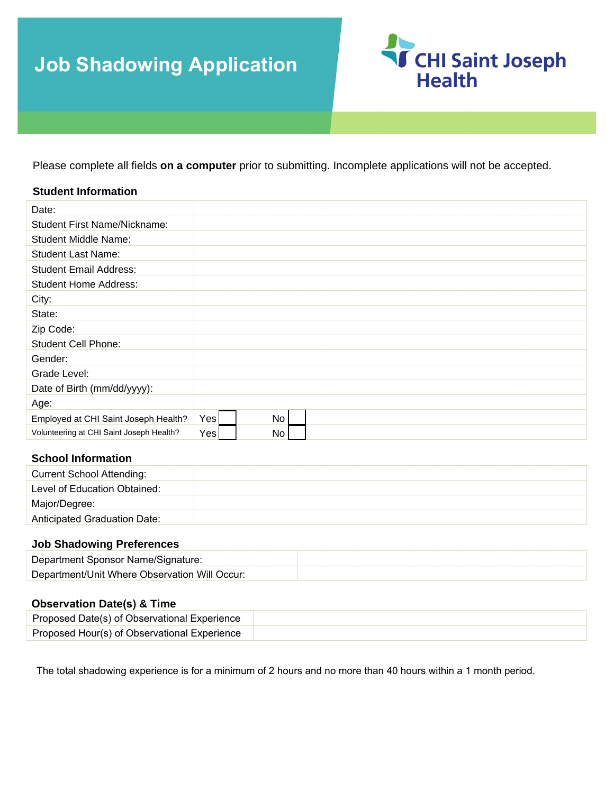# **Job Shadowing Application**



Please complete all fields **on a computer** prior to submitting. Incomplete applications will not be accepted.

#### **Student Information**

| Date:                                    |     |                 |  |  |
|------------------------------------------|-----|-----------------|--|--|
| <b>Student First Name/Nickname:</b>      |     |                 |  |  |
| <b>Student Middle Name:</b>              |     |                 |  |  |
| <b>Student Last Name:</b>                |     |                 |  |  |
| <b>Student Email Address:</b>            |     |                 |  |  |
| <b>Student Home Address:</b>             |     |                 |  |  |
| City:                                    |     |                 |  |  |
| State:                                   |     |                 |  |  |
| Zip Code:                                |     |                 |  |  |
| <b>Student Cell Phone:</b>               |     |                 |  |  |
| Gender:                                  |     |                 |  |  |
| Grade Level:                             |     |                 |  |  |
| Date of Birth (mm/dd/yyyy):              |     |                 |  |  |
| Age:                                     |     |                 |  |  |
| Employed at CHI Saint Joseph Health?     | Yes | No <sub>1</sub> |  |  |
| Volunteering at CHI Saint Joseph Health? | Yes | No              |  |  |

### **School Information**

| <b>Current School Attending:</b>    |  |
|-------------------------------------|--|
| Level of Education Obtained:        |  |
| Major/Degree:                       |  |
| <b>Anticipated Graduation Date:</b> |  |

#### **Job Shadowing Preferences**

| Department Sponsor Name/Signature:            |  |
|-----------------------------------------------|--|
| Department/Unit Where Observation Will Occur: |  |

#### **Observation Date(s) & Time**

| Proposed Date(s) of Observational Experience |  |
|----------------------------------------------|--|
| Proposed Hour(s) of Observational Experience |  |

The total shadowing experience is for a minimum of 2 hours and no more than 40 hours within a 1 month period.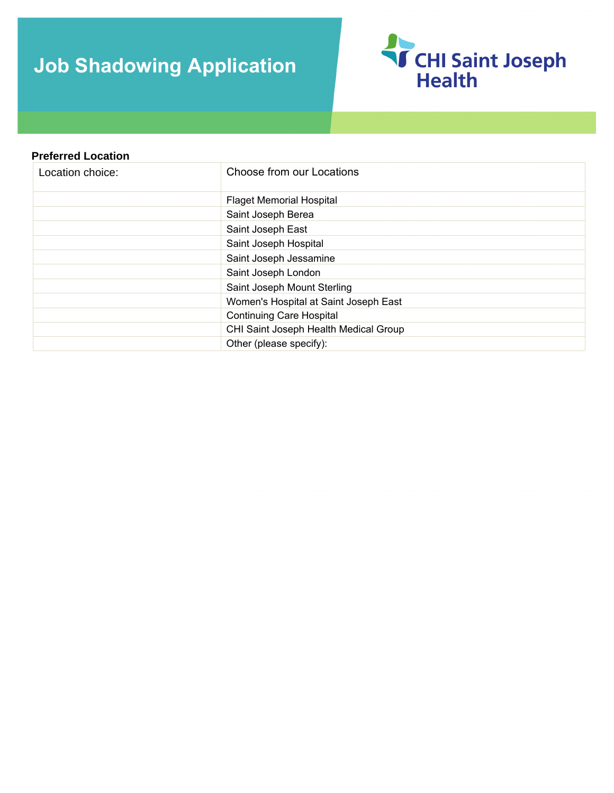# **Job Shadowing Application**



## **Preferred Location**  Location choice: Flaget Memorial Hospital Saint Joseph Berea Saint Joseph East Saint Joseph Hospital Saint Joseph Jessamine Saint Joseph London Saint Joseph Mount Sterling Women's Hospital at Saint Joseph East Continuing Care Hospital Choose from our Locations CHI Saint Joseph Health Medical Group Other (please specify):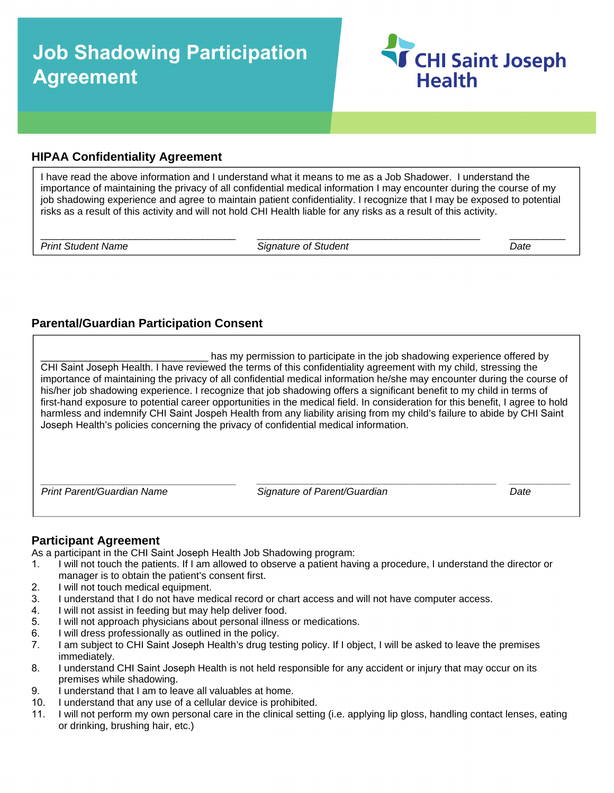## **Job Shadowing Participation Agreement**



## **HIPAA Confidentiality Agreement**

I have read the above information and I understand what it means to me as a Job Shadower. I understand the importance of maintaining the privacy of all confidential medical information I may encounter during the course of my job shadowing experience and agree to maintain patient confidentiality. I recognize that I may be exposed to potential risks as a result of this activity and will not hold CHI Health liable for any risks as a result of this activity.

*Print Student Name Signature of Student Date*

\_\_\_\_\_\_\_\_\_\_\_\_\_\_\_\_\_\_\_\_\_\_\_\_\_\_\_\_\_\_\_\_\_\_\_ \_\_\_\_\_\_\_\_\_\_\_\_\_\_\_\_\_\_\_\_\_\_\_\_\_\_\_\_\_\_\_\_\_\_\_\_\_\_\_\_ \_\_\_\_\_\_\_\_\_\_

## **Parental/Guardian Participation Consent**

has my permission to participate in the job shadowing experience offered by CHI Saint Joseph Health. I have reviewed the terms of this confidentiality agreement with my child, stressing the importance of maintaining the privacy of all confidential medical information he/she may encounter during the course of his/her job shadowing experience. I recognize that job shadowing offers a significant benefit to my child in terms of first-hand exposure to potential career opportunities in the medical field. In consideration for this benefit, I agree to hold harmless and indemnify CHI Saint Jospeh Health from any liability arising from my child's failure to abide by CHI Saint Joseph Health's policies concerning the privacy of confidential medical information.

*Print Parent/Guardian Name Signature of Parent/Guardian Date*

*\_\_\_\_\_\_\_\_\_\_\_\_\_\_\_\_\_\_\_\_\_\_\_\_\_\_\_\_\_\_\_\_\_\_\_ \_\_\_\_\_\_\_\_\_\_\_\_\_\_\_\_\_\_\_\_\_\_\_\_\_\_\_\_\_\_\_\_\_\_\_\_\_\_\_\_\_\_\_ \_\_\_\_\_\_\_\_\_\_\_* 

### **Participant Agreement**

As a participant in the CHI Saint Joseph Health Job Shadowing program:<br>1. I will not touch the patients. If I am allowed to observe a patient have

- 1. I will not touch the patients. If I am allowed to observe a patient having a procedure, I understand the director or manager is to obtain the patient's consent first.
- 2. I will not touch medical equipment.<br>3. I understand that I do not have med
- I understand that I do not have medical record or chart access and will not have computer access.
- 4. I will not assist in feeding but may help deliver food.
- 5. I will not approach physicians about personal illness or medications.<br>6. I will dress professionally as outlined in the policy.
- 6. I will dress professionally as outlined in the policy.<br>7. I am subject to CHI Saint Joseph Health's drug tes
- 1 am subject to CHI Saint Joseph Health's drug testing policy. If I object, I will be asked to leave the premises immediately.
- 8. I understand CHI Saint Joseph Health is not held responsible for any accident or injury that may occur on its premises while shadowing.
- 9. I understand that I am to leave all valuables at home.
- 10. I understand that any use of a cellular device is prohibited.
- 11. I will not perform my own personal care in the clinical setting (i.e. applying lip gloss, handling contact lenses, eating or drinking, brushing hair, etc.)